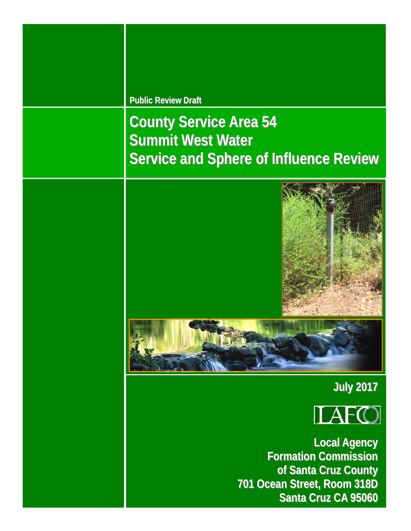**Public Review Draft Public Review Draft**

# **County Service Area 54 County Service Area 54 Summit West Water Service and Sphere of Influence Review**



**July 2017 July 2017**



**Local Agency Formation Commission Formation Commission of Santa Cruz County of Santa Cruz County 701 Ocean Street, Room 318D 701 Ocean Street, Room 318D Santa Cruz CA 95060 Santa Cruz CA 95060**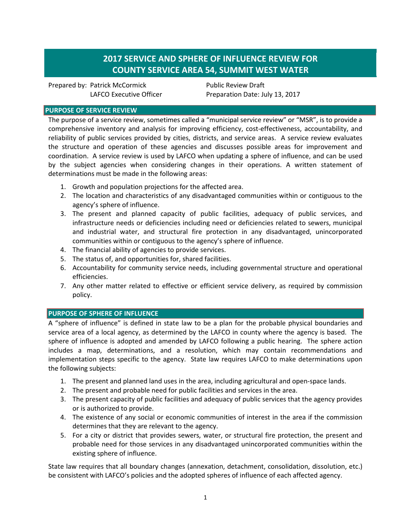## **2017 SERVICE AND SPHERE OF INFLUENCE REVIEW FOR COUNTY SERVICE AREA 54, SUMMIT WEST WATER**

Prepared by: Patrick McCormick LAFCO Executive Officer

Public Review Draft Preparation Date: July 13, 2017

#### **PURPOSE OF SERVICE REVIEW**

The purpose of a service review, sometimes called a "municipal service review" or "MSR", is to provide a comprehensive inventory and analysis for improving efficiency, cost-effectiveness, accountability, and reliability of public services provided by cities, districts, and service areas. A service review evaluates the structure and operation of these agencies and discusses possible areas for improvement and coordination. A service review is used by LAFCO when updating a sphere of influence, and can be used by the subject agencies when considering changes in their operations. A written statement of determinations must be made in the following areas:

- 1. Growth and population projections for the affected area.
- 2. The location and characteristics of any disadvantaged communities within or contiguous to the agency's sphere of influence.
- 3. The present and planned capacity of public facilities, adequacy of public services, and infrastructure needs or deficiencies including need or deficiencies related to sewers, municipal and industrial water, and structural fire protection in any disadvantaged, unincorporated communities within or contiguous to the agency's sphere of influence.
- 4. The financial ability of agencies to provide services.
- 5. The status of, and opportunities for, shared facilities.
- 6. Accountability for community service needs, including governmental structure and operational efficiencies.
- 7. Any other matter related to effective or efficient service delivery, as required by commission policy.

#### **PURPOSE OF SPHERE OF INFLUENCE**

A "sphere of influence" is defined in state law to be a plan for the probable physical boundaries and service area of a local agency, as determined by the LAFCO in county where the agency is based. The sphere of influence is adopted and amended by LAFCO following a public hearing. The sphere action includes a map, determinations, and a resolution, which may contain recommendations and implementation steps specific to the agency. State law requires LAFCO to make determinations upon the following subjects:

- 1. The present and planned land uses in the area, including agricultural and open-space lands.
- 2. The present and probable need for public facilities and services in the area.
- 3. The present capacity of public facilities and adequacy of public services that the agency provides or is authorized to provide.
- 4. The existence of any social or economic communities of interest in the area if the commission determines that they are relevant to the agency.
- 5. For a city or district that provides sewers, water, or structural fire protection, the present and probable need for those services in any disadvantaged unincorporated communities within the existing sphere of influence.

State law requires that all boundary changes (annexation, detachment, consolidation, dissolution, etc.) be consistent with LAFCO's policies and the adopted spheres of influence of each affected agency.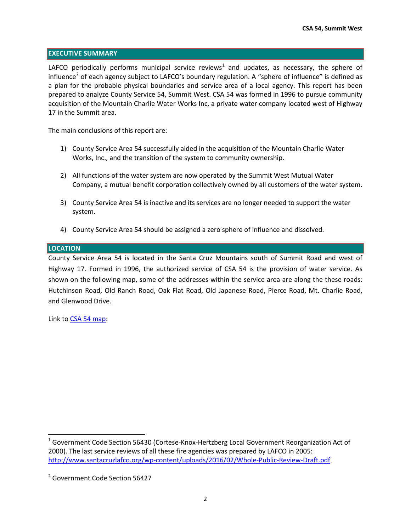#### **EXECUTIVE SUMMARY**

LAFCO periodically performs municipal service reviews<sup>[1](#page-2-0)</sup> and updates, as necessary, the sphere of influence<sup>[2](#page-2-1)</sup> of each agency subject to LAFCO's boundary regulation. A "sphere of influence" is defined as a plan for the probable physical boundaries and service area of a local agency. This report has been prepared to analyze County Service 54, Summit West. CSA 54 was formed in 1996 to pursue community acquisition of the Mountain Charlie Water Works Inc, a private water company located west of Highway 17 in the Summit area.

The main conclusions of this report are:

- 1) County Service Area 54 successfully aided in the acquisition of the Mountain Charlie Water Works, Inc., and the transition of the system to community ownership.
- 2) All functions of the water system are now operated by the Summit West Mutual Water Company, a mutual benefit corporation collectively owned by all customers of the water system.
- 3) County Service Area 54 is inactive and its services are no longer needed to support the water system.
- 4) County Service Area 54 should be assigned a zero sphere of influence and dissolved.

#### **LOCATION**

County Service Area 54 is located in the Santa Cruz Mountains south of Summit Road and west of Highway 17. Formed in 1996, the authorized service of CSA 54 is the provision of water service. As shown on the following map, some of the addresses within the service area are along the these roads: Hutchinson Road, Old Ranch Road, Oak Flat Road, Old Japanese Road, Pierce Road, Mt. Charlie Road, and Glenwood Drive.

Link to [CSA 54 map:](https://drive.google.com/file/d/0B4ldF27YK6vPVnhwY0pORzdJYWc/view)

<span id="page-2-0"></span><sup>&</sup>lt;sup>1</sup> Government Code Section 56430 (Cortese-Knox-Hertzberg Local Government Reorganization Act of 2000). The last service reviews of all these fire agencies was prepared by LAFCO in 2005: <http://www.santacruzlafco.org/wp-content/uploads/2016/02/Whole-Public-Review-Draft.pdf>

<span id="page-2-1"></span><sup>&</sup>lt;sup>2</sup> Government Code Section 56427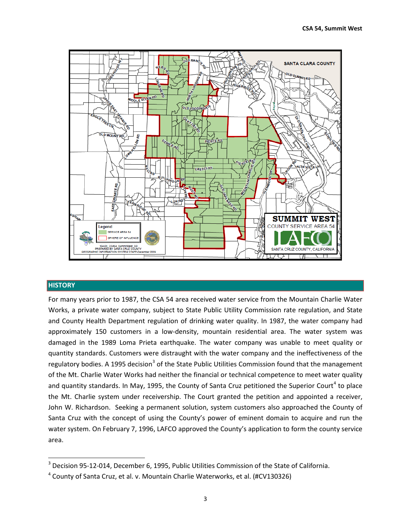

#### **HISTORY**

For many years prior to 1987, the CSA 54 area received water service from the Mountain Charlie Water Works, a private water company, subject to State Public Utility Commission rate regulation, and State and County Health Department regulation of drinking water quality. In 1987, the water company had approximately 150 customers in a low-density, mountain residential area. The water system was damaged in the 1989 Loma Prieta earthquake. The water company was unable to meet quality or quantity standards. Customers were distraught with the water company and the ineffectiveness of the regulatory bodies. A 1995 decision<sup>[3](#page-3-0)</sup> of the State Public Utilities Commission found that the management of the Mt. Charlie Water Works had neither the financial or technical competence to meet water quality and quantity standards. In May, 1995, the County of Santa Cruz petitioned the Superior Court<sup>[4](#page-3-1)</sup> to place the Mt. Charlie system under receivership. The Court granted the petition and appointed a receiver, John W. Richardson. Seeking a permanent solution, system customers also approached the County of Santa Cruz with the concept of using the County's power of eminent domain to acquire and run the water system. On February 7, 1996, LAFCO approved the County's application to form the county service area.

<span id="page-3-0"></span><sup>&</sup>lt;sup>3</sup> Decision 95-12-014, December 6, 1995, Public Utilities Commission of the State of California.

<span id="page-3-1"></span><sup>4</sup> County of Santa Cruz, et al. v. Mountain Charlie Waterworks, et al. (#CV130326)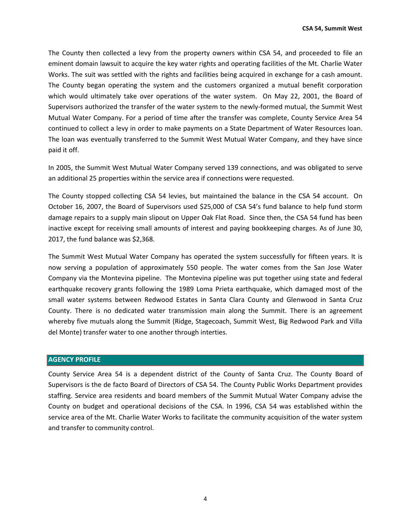The County then collected a levy from the property owners within CSA 54, and proceeded to file an eminent domain lawsuit to acquire the key water rights and operating facilities of the Mt. Charlie Water Works. The suit was settled with the rights and facilities being acquired in exchange for a cash amount. The County began operating the system and the customers organized a mutual benefit corporation which would ultimately take over operations of the water system. On May 22, 2001, the Board of Supervisors authorized the transfer of the water system to the newly-formed mutual, the Summit West Mutual Water Company. For a period of time after the transfer was complete, County Service Area 54 continued to collect a levy in order to make payments on a State Department of Water Resources loan. The loan was eventually transferred to the Summit West Mutual Water Company, and they have since paid it off.

In 2005, the Summit West Mutual Water Company served 139 connections, and was obligated to serve an additional 25 properties within the service area if connections were requested.

The County stopped collecting CSA 54 levies, but maintained the balance in the CSA 54 account. On October 16, 2007, the Board of Supervisors used \$25,000 of CSA 54's fund balance to help fund storm damage repairs to a supply main slipout on Upper Oak Flat Road. Since then, the CSA 54 fund has been inactive except for receiving small amounts of interest and paying bookkeeping charges. As of June 30, 2017, the fund balance was \$2,368.

The Summit West Mutual Water Company has operated the system successfully for fifteen years. It is now serving a population of approximately 550 people. The water comes from the San Jose Water Company via the Montevina pipeline. The Montevina pipeline was put together using state and federal earthquake recovery grants following the 1989 Loma Prieta earthquake, which damaged most of the small water systems between Redwood Estates in Santa Clara County and Glenwood in Santa Cruz County. There is no dedicated water transmission main along the Summit. There is an agreement whereby five mutuals along the Summit (Ridge, Stagecoach, Summit West, Big Redwood Park and Villa del Monte) transfer water to one another through interties.

#### **AGENCY PROFILE**

County Service Area 54 is a dependent district of the County of Santa Cruz. The County Board of Supervisors is the de facto Board of Directors of CSA 54. The County Public Works Department provides staffing. Service area residents and board members of the Summit Mutual Water Company advise the County on budget and operational decisions of the CSA. In 1996, CSA 54 was established within the service area of the Mt. Charlie Water Works to facilitate the community acquisition of the water system and transfer to community control.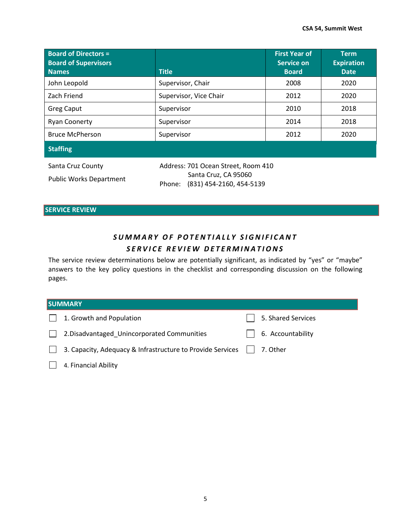| <b>Board of Directors =</b><br><b>Board of Supervisors</b><br><b>Names</b>                                                                               | <b>Title</b>           | <b>First Year of</b><br><b>Service on</b><br><b>Board</b> | <b>Term</b><br><b>Expiration</b><br><b>Date</b> |  |
|----------------------------------------------------------------------------------------------------------------------------------------------------------|------------------------|-----------------------------------------------------------|-------------------------------------------------|--|
| John Leopold                                                                                                                                             | Supervisor, Chair      | 2008                                                      | 2020                                            |  |
| Zach Friend                                                                                                                                              | Supervisor, Vice Chair | 2012                                                      | 2020                                            |  |
| <b>Greg Caput</b>                                                                                                                                        | Supervisor             | 2010                                                      | 2018                                            |  |
| <b>Ryan Coonerty</b>                                                                                                                                     | Supervisor             | 2014                                                      | 2018                                            |  |
| <b>Bruce McPherson</b>                                                                                                                                   | Supervisor             | 2012                                                      | 2020                                            |  |
| <b>Staffing</b>                                                                                                                                          |                        |                                                           |                                                 |  |
| Address: 701 Ocean Street, Room 410<br>Santa Cruz County<br>Santa Cruz, CA 95060<br><b>Public Works Department</b><br>(831) 454-2160, 454-5139<br>Phone: |                        |                                                           |                                                 |  |

#### **SERVICE REVIEW**

## **SUMMARY OF POTENTIALLY SIGNIFICANT** *SERVICE REVIEW DETERMINATIONS*

The service review determinations below are potentially significant, as indicated by "yes" or "maybe" answers to the key policy questions in the checklist and corresponding discussion on the following pages.

|              | <b>SUMMARY</b>                                                          |  |                    |  |  |  |  |
|--------------|-------------------------------------------------------------------------|--|--------------------|--|--|--|--|
| $\mathbf{I}$ | 1. Growth and Population                                                |  | 5. Shared Services |  |  |  |  |
| $\mathbf{I}$ | 2. Disadvantaged Unincorporated Communities                             |  | 6. Accountability  |  |  |  |  |
| $\mathbf{1}$ | 3. Capacity, Adequacy & Infrastructure to Provide Services     7. Other |  |                    |  |  |  |  |
|              | 4. Financial Ability                                                    |  |                    |  |  |  |  |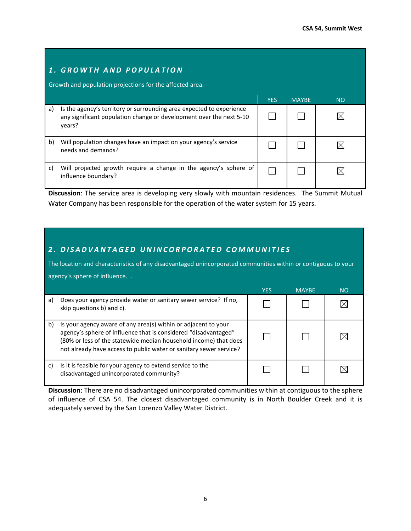## *1. GROWTH AND POPULA TION*

Growth and population projections for the affected area.

|    |                                                                                                                                                       | YES | <b>MAYRE</b> | <b>NO</b> |
|----|-------------------------------------------------------------------------------------------------------------------------------------------------------|-----|--------------|-----------|
| a) | Is the agency's territory or surrounding area expected to experience<br>any significant population change or development over the next 5-10<br>years? |     |              |           |
| b) | Will population changes have an impact on your agency's service<br>needs and demands?                                                                 |     |              |           |
| C) | Will projected growth require a change in the agency's sphere of<br>influence boundary?                                                               |     |              |           |

**Discussion**: The service area is developing very slowly with mountain residences. The Summit Mutual Water Company has been responsible for the operation of the water system for 15 years.

#### *2. DISADVANTAGED UNINCORPORATED COMMUNIT IES*

The location and characteristics of any disadvantaged unincorporated communities within or contiguous to your agency's sphere of influence. . YES MAYBE NO a) Does your agency provide water or sanitary sewer service? If no,  $\Box$  $\Box$  $\boxtimes$ skip questions b) and c). b) Is your agency aware of any area(s) within or adjacent to your agency's sphere of influence that is considered "disadvantaged"  $\Box$  $\Box$  $\boxtimes$ (80% or less of the statewide median household income) that does not already have access to public water or sanitary sewer service?

c) Is it is feasible for your agency to extend service to the  $\Box$  $\Box$  $\boxtimes$ disadvantaged unincorporated community?

**Discussion**: There are no disadvantaged unincorporated communities within at contiguous to the sphere of influence of CSA 54. The closest disadvantaged community is in North Boulder Creek and it is adequately served by the San Lorenzo Valley Water District.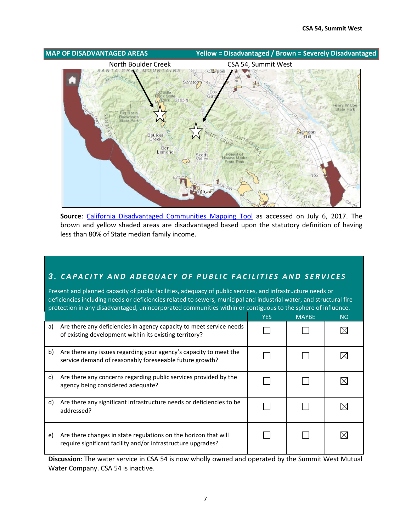

**Source**: [California Disadvantaged Communities Mapping Tool](http://www.water.ca.gov/irwm/grants/resources_dac.cfm) as accessed on July 6, 2017. The brown and yellow shaded areas are disadvantaged based upon the statutory definition of having less than 80% of State median family income.

#### *3 . CAPACITY AND ADEQUAC Y OF PUBLIC FACILITI ES AND SERVICES*

Present and planned capacity of public facilities, adequacy of public services, and infrastructure needs or deficiencies including needs or deficiencies related to sewers, municipal and industrial water, and structural fire protection in any disadvantaged, unincorporated communities within or contiguous to the sphere of influence.

|    |                                                                                                                                 | <b>YES</b> | <b>MAYBE</b> | NO. |
|----|---------------------------------------------------------------------------------------------------------------------------------|------------|--------------|-----|
| a) | Are there any deficiencies in agency capacity to meet service needs<br>of existing development within its existing territory?   |            |              |     |
| b) | Are there any issues regarding your agency's capacity to meet the<br>service demand of reasonably foreseeable future growth?    |            |              |     |
| C) | Are there any concerns regarding public services provided by the<br>agency being considered adequate?                           |            |              |     |
| d) | Are there any significant infrastructure needs or deficiencies to be<br>addressed?                                              |            |              |     |
| e) | Are there changes in state regulations on the horizon that will<br>require significant facility and/or infrastructure upgrades? |            |              |     |

**Discussion**: The water service in CSA 54 is now wholly owned and operated by the Summit West Mutual Water Company. CSA 54 is inactive.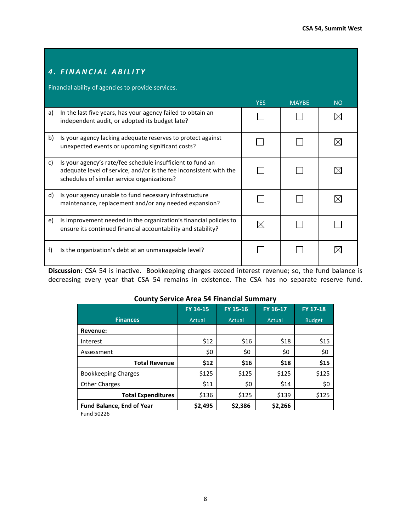## *4. FINANCIAL ABILITY*

Financial ability of agencies to provide services.

|    |                                                                                                                                                                                 | <b>YES</b> | <b>MAYBE</b> | <b>NO</b> |
|----|---------------------------------------------------------------------------------------------------------------------------------------------------------------------------------|------------|--------------|-----------|
| a) | In the last five years, has your agency failed to obtain an<br>independent audit, or adopted its budget late?                                                                   |            |              |           |
| b) | Is your agency lacking adequate reserves to protect against<br>unexpected events or upcoming significant costs?                                                                 |            |              |           |
| c) | Is your agency's rate/fee schedule insufficient to fund an<br>adequate level of service, and/or is the fee inconsistent with the<br>schedules of similar service organizations? |            |              |           |
| d) | Is your agency unable to fund necessary infrastructure<br>maintenance, replacement and/or any needed expansion?                                                                 |            |              |           |
| e) | Is improvement needed in the organization's financial policies to<br>ensure its continued financial accountability and stability?                                               |            |              |           |
| f) | Is the organization's debt at an unmanageable level?                                                                                                                            |            |              |           |

**Discussion**: CSA 54 is inactive. Bookkeeping charges exceed interest revenue; so, the fund balance is decreasing every year that CSA 54 remains in existence. The CSA has no separate reserve fund.

#### **County Service Area 54 Financial Summary**

|                                  | FY 14-15 | FY 15-16 | FY 16-17 | FY 17-18      |
|----------------------------------|----------|----------|----------|---------------|
| <b>Finances</b>                  | Actual   | Actual   | Actual   | <b>Budget</b> |
| Revenue:                         |          |          |          |               |
| Interest                         | \$12     | \$16     | \$18     | \$15          |
| Assessment                       | \$0      | \$0      | \$0      | \$0           |
| <b>Total Revenue</b>             | \$12     | \$16     | \$18     | \$15          |
| <b>Bookkeeping Charges</b>       | \$125    | \$125    | \$125    | \$125         |
| <b>Other Charges</b>             | \$11     | \$0      | \$14     | \$0           |
| <b>Total Expenditures</b>        | \$136    | \$125    | \$139    | \$125         |
| <b>Fund Balance, End of Year</b> | \$2,495  | \$2,386  | \$2,266  |               |

Fund 50226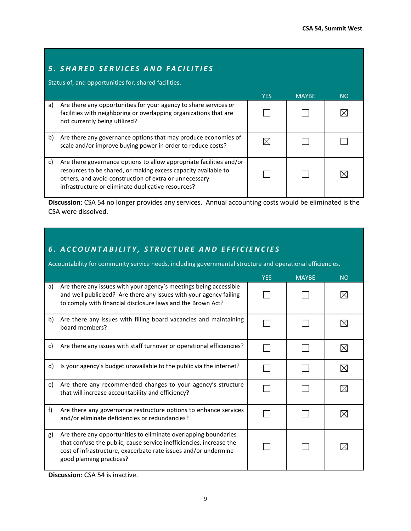## *5. SHARED SERVICES AND FACILITIES*

Status of, and opportunities for, shared facilities.

|    |                                                                                                                                                                                                                                                       | <b>YES</b>  | <b>MAYBE</b> | <b>NO</b> |
|----|-------------------------------------------------------------------------------------------------------------------------------------------------------------------------------------------------------------------------------------------------------|-------------|--------------|-----------|
| a) | Are there any opportunities for your agency to share services or<br>facilities with neighboring or overlapping organizations that are<br>not currently being utilized?                                                                                |             |              |           |
| b) | Are there any governance options that may produce economies of<br>scale and/or improve buying power in order to reduce costs?                                                                                                                         | $\boxtimes$ |              |           |
| C) | Are there governance options to allow appropriate facilities and/or<br>resources to be shared, or making excess capacity available to<br>others, and avoid construction of extra or unnecessary<br>infrastructure or eliminate duplicative resources? |             |              |           |

**Discussion**: CSA 54 no longer provides any services. Annual accounting costs would be eliminated is the CSA were dissolved.

## *6. ACCOUNTABILITY, S TRUCTURE AND EFFICIENCIES*

Accountability for community service needs, including governmental structure and operational efficiencies.

|    |                                                                                                                                                                                                                                       | <b>YES</b> | <b>MAYBE</b> | <b>NO</b>   |
|----|---------------------------------------------------------------------------------------------------------------------------------------------------------------------------------------------------------------------------------------|------------|--------------|-------------|
| a) | Are there any issues with your agency's meetings being accessible<br>and well publicized? Are there any issues with your agency failing<br>to comply with financial disclosure laws and the Brown Act?                                |            |              |             |
| b) | Are there any issues with filling board vacancies and maintaining<br>board members?                                                                                                                                                   |            |              |             |
| c) | Are there any issues with staff turnover or operational efficiencies?                                                                                                                                                                 |            |              | $\boxtimes$ |
| d) | Is your agency's budget unavailable to the public via the internet?                                                                                                                                                                   |            |              |             |
| e) | Are there any recommended changes to your agency's structure<br>that will increase accountability and efficiency?                                                                                                                     |            |              | IX          |
| f  | Are there any governance restructure options to enhance services<br>and/or eliminate deficiencies or redundancies?                                                                                                                    |            |              |             |
| g) | Are there any opportunities to eliminate overlapping boundaries<br>that confuse the public, cause service inefficiencies, increase the<br>cost of infrastructure, exacerbate rate issues and/or undermine<br>good planning practices? |            |              |             |

**Discussion**: CSA 54 is inactive.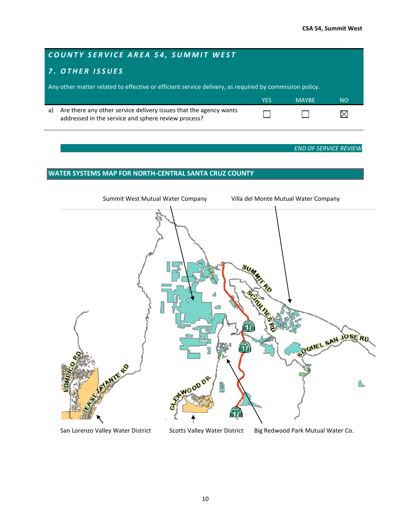#### *COUNTY SERVICE AREA 54, SUMMIT WEST 7. OTHER ISSUES* Any other matter related to effective or efficient service delivery, as required by commission policy. YES MAYBE NO a) Are there any other service delivery issues that the agency wants  $\Box$  $\Box$  $\boxtimes$ addressed in the service and sphere review process?

*END OF SERVICE REVIEW*

#### **WATER SYSTEMS MAP FOR NORTH-CENTRAL SANTA CRUZ COUNTY**

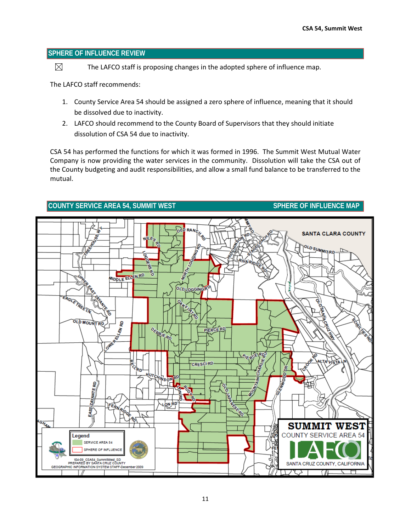#### **SPHERE OF INFLUENCE REVIEW**

 $\boxtimes$ The LAFCO staff is proposing changes in the adopted sphere of influence map.

The LAFCO staff recommends:

- 1. County Service Area 54 should be assigned a zero sphere of influence, meaning that it should be dissolved due to inactivity.
- 2. LAFCO should recommend to the County Board of Supervisors that they should initiate dissolution of CSA 54 due to inactivity.

CSA 54 has performed the functions for which it was formed in 1996. The Summit West Mutual Water Company is now providing the water services in the community. Dissolution will take the CSA out of the County budgeting and audit responsibilities, and allow a small fund balance to be transferred to the mutual.

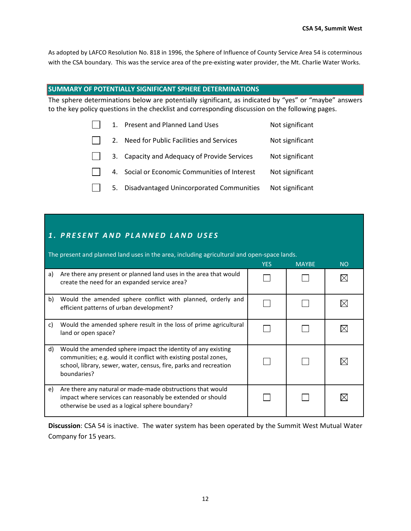As adopted by LAFCO Resolution No. 818 in 1996, the Sphere of Influence of County Service Area 54 is coterminous with the CSA boundary. This was the service area of the pre-existing water provider, the Mt. Charlie Water Works.

#### **SUMMARY OF POTENTIALLY SIGNIFICANT SPHERE DETERMINATIONS**

The sphere determinations below are potentially significant, as indicated by "yes" or "maybe" answers to the key policy questions in the checklist and corresponding discussion on the following pages.

| 1. | Present and Planned Land Uses                 | Not significant |
|----|-----------------------------------------------|-----------------|
|    | 2. Need for Public Facilities and Services    | Not significant |
|    | 3. Capacity and Adequacy of Provide Services  | Not significant |
|    | 4. Social or Economic Communities of Interest | Not significant |
| 5. | Disadvantaged Unincorporated Communities      | Not significant |

## *1. PRESENT AND PLANNED LAND USES*

The present and planned land uses in the area, including agricultural and open-space lands.

|    |                                                                                                                                                                                                                     | <b>YES</b> | <b>MAYBE</b> | <b>NO</b> |
|----|---------------------------------------------------------------------------------------------------------------------------------------------------------------------------------------------------------------------|------------|--------------|-----------|
| a) | Are there any present or planned land uses in the area that would<br>create the need for an expanded service area?                                                                                                  |            |              |           |
| b) | Would the amended sphere conflict with planned, orderly and<br>efficient patterns of urban development?                                                                                                             |            |              |           |
| C) | Would the amended sphere result in the loss of prime agricultural<br>land or open space?                                                                                                                            |            |              |           |
| d) | Would the amended sphere impact the identity of any existing<br>communities; e.g. would it conflict with existing postal zones,<br>school, library, sewer, water, census, fire, parks and recreation<br>boundaries? |            |              | ⋉         |
| e) | Are there any natural or made-made obstructions that would<br>impact where services can reasonably be extended or should<br>otherwise be used as a logical sphere boundary?                                         |            |              |           |

**Discussion**: CSA 54 is inactive. The water system has been operated by the Summit West Mutual Water Company for 15 years.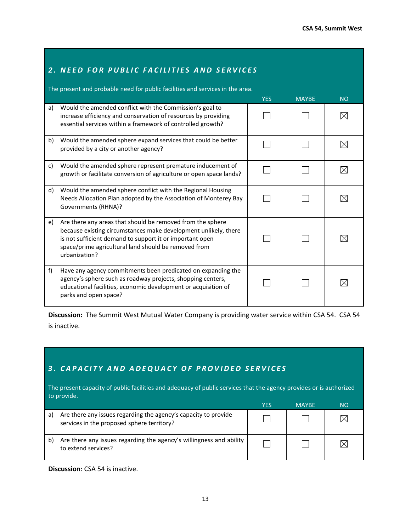|    | 2. NEED FOR PUBLIC FACILITIES AND SERVICES                                                                                                                                                                                                                         |            |              |             |  |  |
|----|--------------------------------------------------------------------------------------------------------------------------------------------------------------------------------------------------------------------------------------------------------------------|------------|--------------|-------------|--|--|
|    | The present and probable need for public facilities and services in the area.                                                                                                                                                                                      | <b>YES</b> | <b>MAYBE</b> | <b>NO</b>   |  |  |
| a) | Would the amended conflict with the Commission's goal to<br>increase efficiency and conservation of resources by providing<br>essential services within a framework of controlled growth?                                                                          |            |              | ⋉           |  |  |
| b) | Would the amended sphere expand services that could be better<br>provided by a city or another agency?                                                                                                                                                             |            |              | $\boxtimes$ |  |  |
| c) | Would the amended sphere represent premature inducement of<br>growth or facilitate conversion of agriculture or open space lands?                                                                                                                                  |            |              | $\boxtimes$ |  |  |
| d) | Would the amended sphere conflict with the Regional Housing<br>Needs Allocation Plan adopted by the Association of Monterey Bay<br><b>Governments (RHNA)?</b>                                                                                                      |            |              | $\boxtimes$ |  |  |
| e) | Are there any areas that should be removed from the sphere<br>because existing circumstances make development unlikely, there<br>is not sufficient demand to support it or important open<br>space/prime agricultural land should be removed from<br>urbanization? |            |              | IX          |  |  |
| f) | Have any agency commitments been predicated on expanding the<br>agency's sphere such as roadway projects, shopping centers,<br>educational facilities, economic development or acquisition of<br>parks and open space?                                             |            |              |             |  |  |

**Discussion:** The Summit West Mutual Water Company is providing water service within CSA 54. CSA 54 is inactive.

## *3. CAPACITY AND ADEQ UACY OF PROVIDED SER VICES*

The present capacity of public facilities and adequacy of public services that the agency provides or is authorized to provide.

|    |                                                                                                               | YFS | <b>MAYRE</b> | 'NΩ |
|----|---------------------------------------------------------------------------------------------------------------|-----|--------------|-----|
| a) | Are there any issues regarding the agency's capacity to provide<br>services in the proposed sphere territory? |     |              |     |
| b) | Are there any issues regarding the agency's willingness and ability<br>to extend services?                    |     |              |     |

**Discussion**: CSA 54 is inactive.